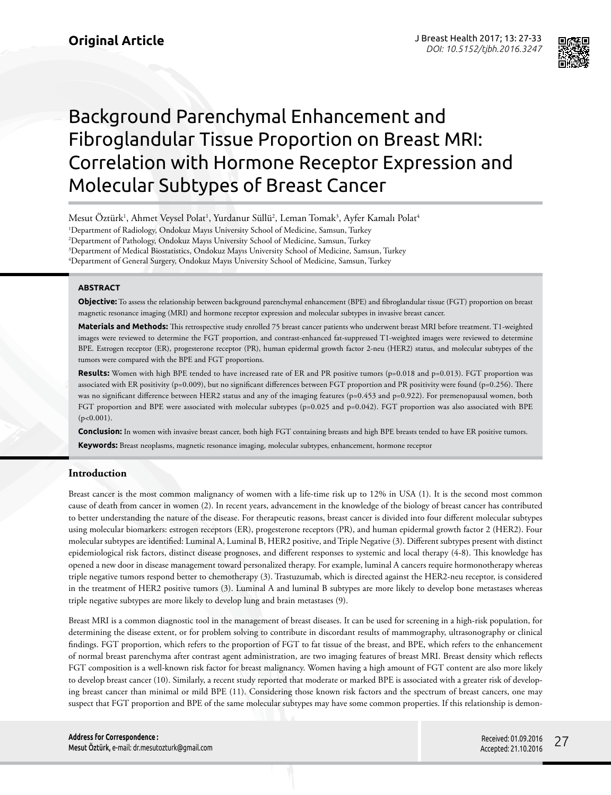

# Background Parenchymal Enhancement and Fibroglandular Tissue Proportion on Breast MRI: Correlation with Hormone Receptor Expression and Molecular Subtypes of Breast Cancer

Mesut Öztürk<sup>ı</sup>, Ahmet Veysel Polat<sup>ı</sup>, Yurdanur Süllü<sup>2</sup>, Leman Tomak<sup>3</sup>, Ayfer Kamalı Polat<sup>4</sup> 1 Department of Radiology, Ondokuz Mayıs University School of Medicine, Samsun, Turkey 2 Department of Pathology, Ondokuz Mayıs University School of Medicine, Samsun, Turkey

3 Department of Medical Biostatistics, Ondokuz Mayıs University School of Medicine, Samsun, Turkey 4 Department of General Surgery, Ondokuz Mayıs University School of Medicine, Samsun, Turkey

**ABSTRACT**

**Objective:** To assess the relationship between background parenchymal enhancement (BPE) and fibroglandular tissue (FGT) proportion on breast magnetic resonance imaging (MRI) and hormone receptor expression and molecular subtypes in invasive breast cancer.

**Materials and Methods:** This retrospective study enrolled 75 breast cancer patients who underwent breast MRI before treatment. T1-weighted images were reviewed to determine the FGT proportion, and contrast-enhanced fat-suppressed T1-weighted images were reviewed to determine BPE. Estrogen receptor (ER), progesterone receptor (PR), human epidermal growth factor 2-neu (HER2) status, and molecular subtypes of the tumors were compared with the BPE and FGT proportions.

Results: Women with high BPE tended to have increased rate of ER and PR positive tumors (p=0.018 and p=0.013). FGT proportion was associated with ER positivity (p=0.009), but no significant differences between FGT proportion and PR positivity were found (p=0.256). There was no significant difference between HER2 status and any of the imaging features (p=0.453 and p=0.922). For premenopausal women, both FGT proportion and BPE were associated with molecular subtypes (p=0.025 and p=0.042). FGT proportion was also associated with BPE (p<0.001).

**Conclusion:** In women with invasive breast cancer, both high FGT containing breasts and high BPE breasts tended to have ER positive tumors.

**Keywords:** Breast neoplasms, magnetic resonance imaging, molecular subtypes, enhancement, hormone receptor

## **Introduction**

Breast cancer is the most common malignancy of women with a life-time risk up to 12% in USA (1). It is the second most common cause of death from cancer in women (2). In recent years, advancement in the knowledge of the biology of breast cancer has contributed to better understanding the nature of the disease. For therapeutic reasons, breast cancer is divided into four different molecular subtypes using molecular biomarkers: estrogen receptors (ER), progesterone receptors (PR), and human epidermal growth factor 2 (HER2). Four molecular subtypes are identified: Luminal A, Luminal B, HER2 positive, and Triple Negative (3). Different subtypes present with distinct epidemiological risk factors, distinct disease prognoses, and different responses to systemic and local therapy (4-8). This knowledge has opened a new door in disease management toward personalized therapy. For example, luminal A cancers require hormonotherapy whereas triple negative tumors respond better to chemotherapy (3). Trastuzumab, which is directed against the HER2-neu receptor, is considered in the treatment of HER2 positive tumors (3). Luminal A and luminal B subtypes are more likely to develop bone metastases whereas triple negative subtypes are more likely to develop lung and brain metastases (9).

Breast MRI is a common diagnostic tool in the management of breast diseases. It can be used for screening in a high-risk population, for determining the disease extent, or for problem solving to contribute in discordant results of mammography, ultrasonography or clinical findings. FGT proportion, which refers to the proportion of FGT to fat tissue of the breast, and BPE, which refers to the enhancement of normal breast parenchyma after contrast agent administration, are two imaging features of breast MRI. Breast density which reflects FGT composition is a well-known risk factor for breast malignancy. Women having a high amount of FGT content are also more likely to develop breast cancer (10). Similarly, a recent study reported that moderate or marked BPE is associated with a greater risk of developing breast cancer than minimal or mild BPE (11). Considering those known risk factors and the spectrum of breast cancers, one may suspect that FGT proportion and BPE of the same molecular subtypes may have some common properties. If this relationship is demon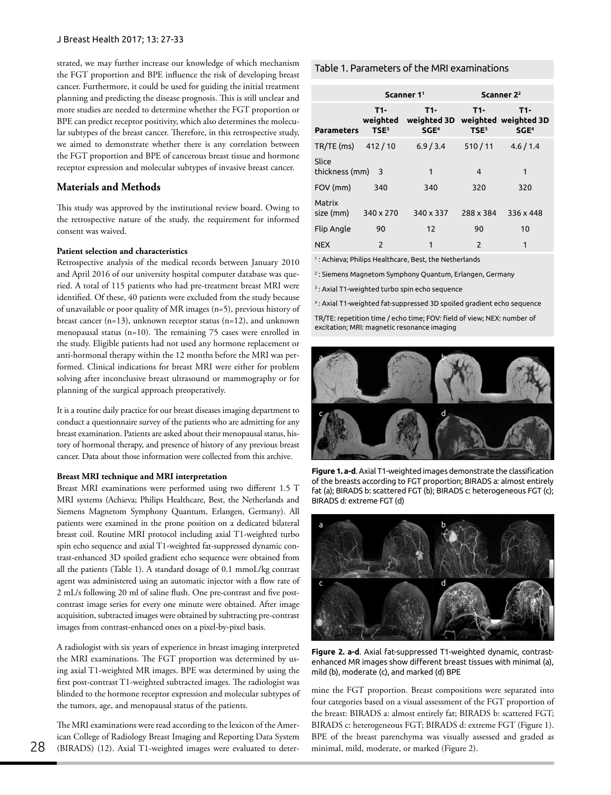strated, we may further increase our knowledge of which mechanism the FGT proportion and BPE influence the risk of developing breast cancer. Furthermore, it could be used for guiding the initial treatment planning and predicting the disease prognosis. This is still unclear and more studies are needed to determine whether the FGT proportion or BPE can predict receptor positivity, which also determines the molecular subtypes of the breast cancer. Therefore, in this retrospective study, we aimed to demonstrate whether there is any correlation between the FGT proportion and BPE of cancerous breast tissue and hormone receptor expression and molecular subtypes of invasive breast cancer.

## **Materials and Methods**

This study was approved by the institutional review board. Owing to the retrospective nature of the study, the requirement for informed consent was waived.

### **Patient selection and characteristics**

Retrospective analysis of the medical records between January 2010 and April 2016 of our university hospital computer database was queried. A total of 115 patients who had pre-treatment breast MRI were identified. Of these, 40 patients were excluded from the study because of unavailable or poor quality of MR images (n=5), previous history of breast cancer  $(n=13)$ , unknown receptor status  $(n=12)$ , and unknown menopausal status (n=10). The remaining 75 cases were enrolled in the study. Eligible patients had not used any hormone replacement or anti-hormonal therapy within the 12 months before the MRI was performed. Clinical indications for breast MRI were either for problem solving after inconclusive breast ultrasound or mammography or for planning of the surgical approach preoperatively.

It is a routine daily practice for our breast diseases imaging department to conduct a questionnaire survey of the patients who are admitting for any breast examination. Patients are asked about their menopausal status, history of hormonal therapy, and presence of history of any previous breast cancer. Data about those information were collected from this archive.

#### **Breast MRI technique and MRI interpretation**

Breast MRI examinations were performed using two different 1.5 T MRI systems (Achieva; Philips Healthcare, Best, the Netherlands and Siemens Magnetom Symphony Quantum, Erlangen, Germany). All patients were examined in the prone position on a dedicated bilateral breast coil. Routine MRI protocol including axial T1-weighted turbo spin echo sequence and axial T1-weighted fat-suppressed dynamic contrast-enhanced 3D spoiled gradient echo sequence were obtained from all the patients (Table 1). A standard dosage of 0.1 mmoL/kg contrast agent was administered using an automatic injector with a flow rate of 2 mL/s following 20 ml of saline flush. One pre-contrast and five postcontrast image series for every one minute were obtained. After image acquisition, subtracted images were obtained by subtracting pre-contrast images from contrast-enhanced ones on a pixel-by-pixel basis.

A radiologist with six years of experience in breast imaging interpreted the MRI examinations. The FGT proportion was determined by using axial T1-weighted MR images. BPE was determined by using the first post-contrast T1-weighted subtracted images. The radiologist was blinded to the hormone receptor expression and molecular subtypes of the tumors, age, and menopausal status of the patients.

The MRI examinations were read according to the lexicon of the American College of Radiology Breast Imaging and Reporting Data System 28 (BIRADS) (12). Axial T1-weighted images were evaluated to deter-<br>
minimal, mild, moderate, or marked (Figure 2).

## Table 1. Parameters of the MRI examinations

|                         |                                     | Scanner 1 <sup>1</sup>                   | Scanner 2 <sup>2</sup>  |                                                 |  |  |
|-------------------------|-------------------------------------|------------------------------------------|-------------------------|-------------------------------------------------|--|--|
| <b>Parameters</b>       | T1-<br>weighted<br>TSE <sup>3</sup> | $T1-$<br>weighted 3D<br>SGE <sup>4</sup> | T1-<br>TSE <sup>3</sup> | T1-<br>weighted weighted 3D<br>SGE <sup>4</sup> |  |  |
| TR/TE (ms)              | 412/10                              | 6.9 / 3.4                                | 510/11                  | 4.6/1.4                                         |  |  |
| Slice<br>thickness (mm) | 3                                   | 1                                        | $\overline{4}$          | 1                                               |  |  |
| FOV (mm)                | 340                                 | 340                                      | 320                     | 320                                             |  |  |
| Matrix<br>size (mm)     | 340 x 270                           | 340 x 337                                | 288 x 384               | 336 x 448                                       |  |  |
| Flip Angle              | 90                                  | $12 \overline{ }$                        | 90                      | 10                                              |  |  |
| <b>NEX</b>              | $\overline{\phantom{0}}$            | 1                                        | $\overline{2}$          | 1                                               |  |  |

1 : Achieva; Philips Healthcare, Best, the Netherlands

2 : Siemens Magnetom Symphony Quantum, Erlangen, Germany

3 : Axial T1-weighted turbo spin echo sequence

4 : Axial T1-weighted fat-suppressed 3D spoiled gradient echo sequence

TR/TE: repetition time / echo time; FOV: field of view; NEX: number of excitation; MRI: magnetic resonance imaging



**Figure 1. a-d**. Axial T1-weighted images demonstrate the classification of the breasts according to FGT proportion; BIRADS a: almost entirely fat (a); BIRADS b: scattered FGT (b); BIRADS c: heterogeneous FGT (c); BIRADS d: extreme FGT (d)



**Figure 2. a-d**. Axial fat-suppressed T1-weighted dynamic, contrastenhanced MR images show different breast tissues with minimal (a), mild (b), moderate (c), and marked (d) BPE

mine the FGT proportion. Breast compositions were separated into four categories based on a visual assessment of the FGT proportion of the breast: BIRADS a: almost entirely fat; BIRADS b: scattered FGT; BIRADS c: heterogeneous FGT; BIRADS d: extreme FGT (Figure 1). BPE of the breast parenchyma was visually assessed and graded as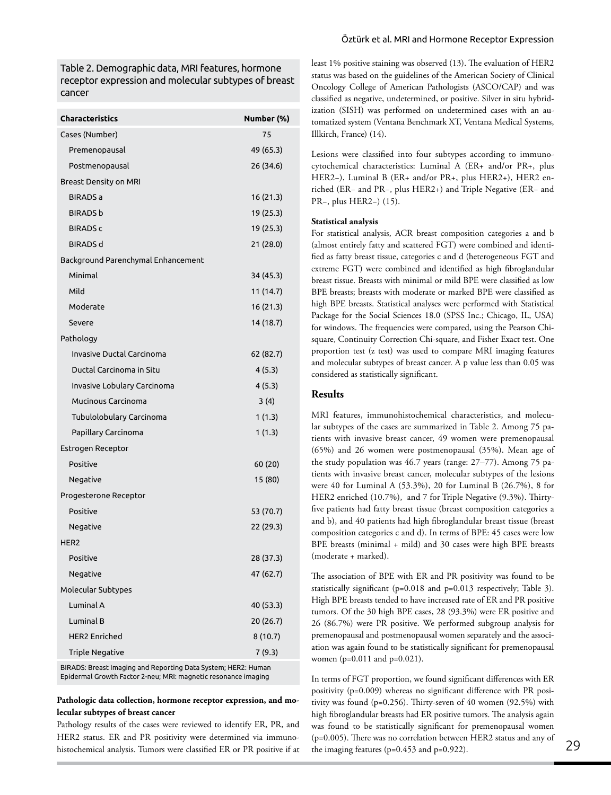Table 2. Demographic data, MRI features, hormone receptor expression and molecular subtypes of breast cancer

| <b>Characteristics</b>             | Number (%) |
|------------------------------------|------------|
| Cases (Number)                     | 75         |
| Premenopausal                      | 49 (65.3)  |
| Postmenopausal                     | 26 (34.6)  |
| Breast Density on MRI              |            |
| <b>BIRADS a</b>                    | 16 (21.3)  |
| <b>BIRADS b</b>                    | 19 (25.3)  |
| <b>BIRADS c</b>                    | 19 (25.3)  |
| <b>BIRADS d</b>                    | 21 (28.0)  |
| Background Parenchymal Enhancement |            |
| Minimal                            | 34 (45.3)  |
| Mild                               | 11 (14.7)  |
| Moderate                           | 16 (21.3)  |
| Severe                             | 14 (18.7)  |
| Pathology                          |            |
| Invasive Ductal Carcinoma          | 62 (82.7)  |
| Ductal Carcinoma in Situ           | 4(5.3)     |
| Invasive Lobulary Carcinoma        | 4(5.3)     |
| Mucinous Carcinoma                 | 3(4)       |
| Tubulolobulary Carcinoma           | 1(1.3)     |
| Papillary Carcinoma                | 1(1.3)     |
| Estrogen Receptor                  |            |
| Positive                           | 60 (20)    |
| Negative                           | 15 (80)    |
| Progesterone Receptor              |            |
| Positive                           | 53 (70.7)  |
| Negative                           | 22 (29.3)  |
| HER <sub>2</sub>                   |            |
| Positive                           | 28 (37.3)  |
| Negative                           | 47 (62.7)  |
| Molecular Subtypes                 |            |
| Luminal A                          | 40 (53.3)  |
| Luminal B                          | 20 (26.7)  |
| <b>HER2 Enriched</b>               | 8 (10.7)   |
| <b>Triple Negative</b>             | 7(9.3)     |
|                                    |            |

BIRADS: Breast Imaging and Reporting Data System; HER2: Human Epidermal Growth Factor 2-neu; MRI: magnetic resonance imaging

## **Pathologic data collection, hormone receptor expression, and molecular subtypes of breast cancer**

Pathology results of the cases were reviewed to identify ER, PR, and HER2 status. ER and PR positivity were determined via immunohistochemical analysis. Tumors were classified ER or PR positive if at

least 1% positive staining was observed (13). The evaluation of HER2 status was based on the guidelines of the American Society of Clinical Oncology College of American Pathologists (ASCO/CAP) and was classified as negative, undetermined, or positive. Silver in situ hybridization (SISH) was performed on undetermined cases with an automatized system (Ventana Benchmark XT, Ventana Medical Systems, Illkirch, France) (14).

Lesions were classified into four subtypes according to immunocytochemical characteristics: Luminal A (ER+ and/or PR+, plus HER2−), Luminal B (ER+ and/or PR+, plus HER2+), HER2 enriched (ER− and PR−, plus HER2+) and Triple Negative (ER− and PR−, plus HER2−) (15).

# **Statistical analysis**

For statistical analysis, ACR breast composition categories a and b (almost entirely fatty and scattered FGT) were combined and identified as fatty breast tissue, categories c and d (heterogeneous FGT and extreme FGT) were combined and identified as high fibroglandular breast tissue. Breasts with minimal or mild BPE were classified as low BPE breasts; breasts with moderate or marked BPE were classified as high BPE breasts. Statistical analyses were performed with Statistical Package for the Social Sciences 18.0 (SPSS Inc.; Chicago, IL, USA) for windows. The frequencies were compared, using the Pearson Chisquare, Continuity Correction Chi-square, and Fisher Exact test. One proportion test (z test) was used to compare MRI imaging features and molecular subtypes of breast cancer. A p value less than 0.05 was considered as statistically significant.

## **Results**

MRI features, immunohistochemical characteristics, and molecular subtypes of the cases are summarized in Table 2. Among 75 patients with invasive breast cancer, 49 women were premenopausal (65%) and 26 women were postmenopausal (35%). Mean age of the study population was 46.7 years (range: 27–77). Among 75 patients with invasive breast cancer, molecular subtypes of the lesions were 40 for Luminal A (53.3%), 20 for Luminal B (26.7%), 8 for HER2 enriched (10.7%), and 7 for Triple Negative (9.3%). Thirtyfive patients had fatty breast tissue (breast composition categories a and b), and 40 patients had high fibroglandular breast tissue (breast composition categories c and d). In terms of BPE: 45 cases were low BPE breasts (minimal + mild) and 30 cases were high BPE breasts (moderate + marked).

The association of BPE with ER and PR positivity was found to be statistically significant (p=0.018 and p=0.013 respectively; Table 3). High BPE breasts tended to have increased rate of ER and PR positive tumors. Of the 30 high BPE cases, 28 (93.3%) were ER positive and 26 (86.7%) were PR positive. We performed subgroup analysis for premenopausal and postmenopausal women separately and the association was again found to be statistically significant for premenopausal women (p=0.011 and p=0.021).

In terms of FGT proportion, we found significant differences with ER positivity (p=0.009) whereas no significant difference with PR positivity was found (p=0.256). Thirty-seven of 40 women (92.5%) with high fibroglandular breasts had ER positive tumors. The analysis again was found to be statistically significant for premenopausal women (p=0.005). There was no correlation between HER2 status and any of the imaging features (p=0.453 and p=0.922).  $29$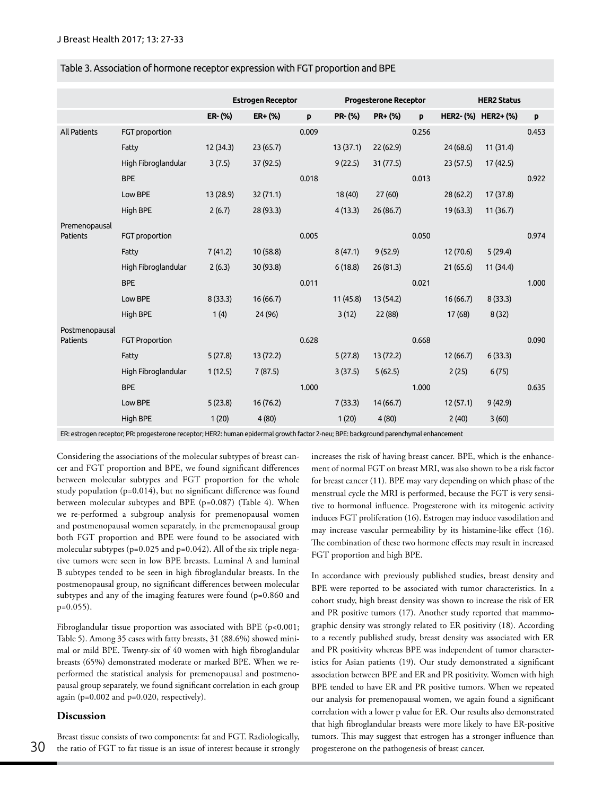| Table 3. Association of hormone receptor expression with FGT proportion and BPE |  |  |  |
|---------------------------------------------------------------------------------|--|--|--|
|                                                                                 |  |  |  |

|                |                       |           | <b>Estrogen Receptor</b> |       |               | <b>Progesterone Receptor</b> |       |           | <b>HER2 Status</b> |       |
|----------------|-----------------------|-----------|--------------------------|-------|---------------|------------------------------|-------|-----------|--------------------|-------|
|                |                       | $ER-(\%)$ | $ER + (*)$               | p     | <b>PR-(%)</b> | PR+ (%)                      | p     |           | HER2-(%) HER2+(%)  | p     |
| All Patients   | FGT proportion        |           |                          | 0.009 |               |                              | 0.256 |           |                    | 0.453 |
|                | Fatty                 | 12 (34.3) | 23(65.7)                 |       | 13(37.1)      | 22(62.9)                     |       | 24(68.6)  | 11(31.4)           |       |
|                | High Fibroglandular   | 3(7.5)    | 37 (92.5)                |       | 9(22.5)       | 31(77.5)                     |       | 23(57.5)  | 17(42.5)           |       |
|                | <b>BPE</b>            |           |                          | 0.018 |               |                              | 0.013 |           |                    | 0.922 |
|                | Low BPE               | 13 (28.9) | 32(71.1)                 |       | 18(40)        | 27(60)                       |       | 28(62.2)  | 17 (37.8)          |       |
|                | High BPE              | 2(6.7)    | 28(93.3)                 |       | 4(13.3)       | 26(86.7)                     |       | 19(63.3)  | 11(36.7)           |       |
| Premenopausal  |                       |           |                          |       |               |                              |       |           |                    |       |
| Patients       | FGT proportion        |           |                          | 0.005 |               |                              | 0.050 |           |                    | 0.974 |
|                | Fatty                 | 7(41.2)   | 10(58.8)                 |       | 8(47.1)       | 9(52.9)                      |       | 12 (70.6) | 5(29.4)            |       |
|                | High Fibroglandular   | 2(6.3)    | 30 (93.8)                |       | 6(18.8)       | 26(81.3)                     |       | 21(65.6)  | 11 (34.4)          |       |
|                | <b>BPE</b>            |           |                          | 0.011 |               |                              | 0.021 |           |                    | 1.000 |
|                | Low BPE               | 8(33.3)   | 16(66.7)                 |       | 11(45.8)      | 13 (54.2)                    |       | 16(66.7)  | 8(33.3)            |       |
|                | High BPE              | 1(4)      | 24 (96)                  |       | 3(12)         | 22 (88)                      |       | 17(68)    | 8(32)              |       |
| Postmenopausal |                       |           |                          |       |               |                              |       |           |                    |       |
| Patients       | <b>FGT Proportion</b> |           |                          | 0.628 |               |                              | 0.668 |           |                    | 0.090 |
|                | Fatty                 | 5(27.8)   | 13 (72.2)                |       | 5(27.8)       | 13(72.2)                     |       | 12(66.7)  | 6(33.3)            |       |
|                | High Fibroglandular   | 1(12.5)   | 7(87.5)                  |       | 3(37.5)       | 5(62.5)                      |       | 2(25)     | 6(75)              |       |
|                | <b>BPE</b>            |           |                          | 1.000 |               |                              | 1.000 |           |                    | 0.635 |
|                | Low BPE               | 5(23.8)   | 16(76.2)                 |       | 7(33.3)       | 14(66.7)                     |       | 12(57.1)  | 9(42.9)            |       |
|                | High BPE              | 1(20)     | 4(80)                    |       | 1(20)         | 4(80)                        |       | 2(40)     | 3(60)              |       |

ER: estrogen receptor; PR: progesterone receptor; HER2: human epidermal growth factor 2-neu; BPE: background parenchymal enhancement

Considering the associations of the molecular subtypes of breast cancer and FGT proportion and BPE, we found significant differences between molecular subtypes and FGT proportion for the whole study population (p=0.014), but no significant difference was found between molecular subtypes and BPE (p=0.087) (Table 4). When we re-performed a subgroup analysis for premenopausal women and postmenopausal women separately, in the premenopausal group both FGT proportion and BPE were found to be associated with molecular subtypes ( $p=0.025$  and  $p=0.042$ ). All of the six triple negative tumors were seen in low BPE breasts. Luminal A and luminal B subtypes tended to be seen in high fibroglandular breasts. In the postmenopausal group, no significant differences between molecular subtypes and any of the imaging features were found (p=0.860 and  $p=0.055$ ).

Fibroglandular tissue proportion was associated with BPE (p<0.001; Table 5). Among 35 cases with fatty breasts, 31 (88.6%) showed minimal or mild BPE. Twenty-six of 40 women with high fibroglandular breasts (65%) demonstrated moderate or marked BPE. When we reperformed the statistical analysis for premenopausal and postmenopausal group separately, we found significant correlation in each group again (p=0.002 and p=0.020, respectively).

## **Discussion**

Breast tissue consists of two components: fat and FGT. Radiologically, 30 the ratio of FGT to fat tissue is an issue of interest because it strongly progesterone on the pathogenesis of breast cancer.

increases the risk of having breast cancer. BPE, which is the enhancement of normal FGT on breast MRI, was also shown to be a risk factor for breast cancer (11). BPE may vary depending on which phase of the menstrual cycle the MRI is performed, because the FGT is very sensitive to hormonal influence. Progesterone with its mitogenic activity induces FGT proliferation (16). Estrogen may induce vasodilation and may increase vascular permeability by its histamine-like effect (16). The combination of these two hormone effects may result in increased FGT proportion and high BPE.

In accordance with previously published studies, breast density and BPE were reported to be associated with tumor characteristics. In a cohort study, high breast density was shown to increase the risk of ER and PR positive tumors (17). Another study reported that mammographic density was strongly related to ER positivity (18). According to a recently published study, breast density was associated with ER and PR positivity whereas BPE was independent of tumor characteristics for Asian patients (19). Our study demonstrated a significant association between BPE and ER and PR positivity. Women with high BPE tended to have ER and PR positive tumors. When we repeated our analysis for premenopausal women, we again found a significant correlation with a lower p value for ER. Our results also demonstrated that high fibroglandular breasts were more likely to have ER-positive tumors. This may suggest that estrogen has a stronger influence than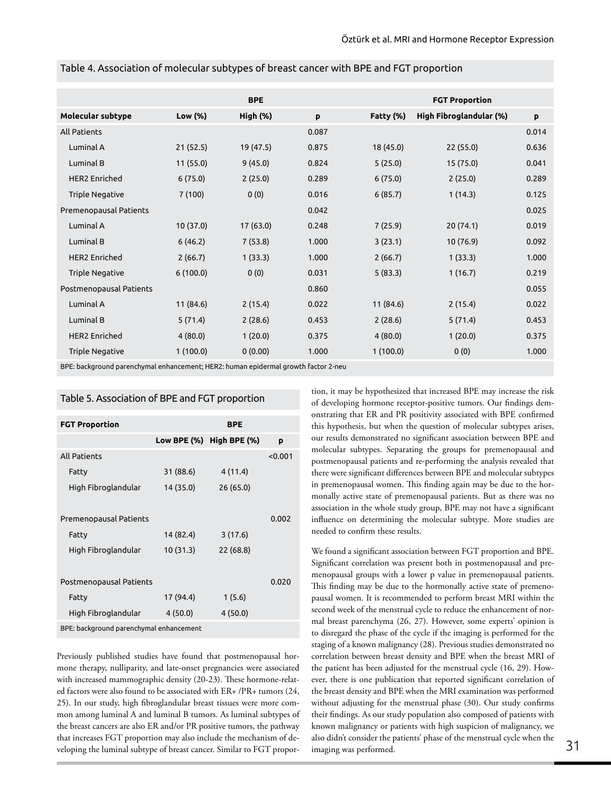|                         |           | <b>BPE</b> |       |           | <b>FGT Proportion</b>   |       |
|-------------------------|-----------|------------|-------|-----------|-------------------------|-------|
| Molecular subtype       | Low (%)   | High (%)   | p     | Fatty (%) | High Fibroglandular (%) | P     |
| <b>All Patients</b>     |           |            | 0.087 |           |                         | 0.014 |
| Luminal A               | 21(52.5)  | 19(47.5)   | 0.875 | 18 (45.0) | 22(55.0)                | 0.636 |
| Luminal B               | 11(55.0)  | 9(45.0)    | 0.824 | 5(25.0)   | 15(75.0)                | 0.041 |
| <b>HER2 Enriched</b>    | 6(75.0)   | 2(25.0)    | 0.289 | 6(75.0)   | 2(25.0)                 | 0.289 |
| <b>Triple Negative</b>  | 7(100)    | 0(0)       | 0.016 | 6(85.7)   | 1(14.3)                 | 0.125 |
| Premenopausal Patients  |           |            | 0.042 |           |                         | 0.025 |
| Luminal A               | 10 (37.0) | 17(63.0)   | 0.248 | 7(25.9)   | 20(74.1)                | 0.019 |
| Luminal B               | 6(46.2)   | 7(53.8)    | 1.000 | 3(23.1)   | 10(76.9)                | 0.092 |
| <b>HER2 Enriched</b>    | 2(66.7)   | 1(33.3)    | 1.000 | 2(66.7)   | 1(33.3)                 | 1.000 |
| <b>Triple Negative</b>  | 6(100.0)  | 0(0)       | 0.031 | 5(83.3)   | 1(16.7)                 | 0.219 |
| Postmenopausal Patients |           |            | 0.860 |           |                         | 0.055 |
| Luminal A               | 11 (84.6) | 2(15.4)    | 0.022 | 11 (84.6) | 2(15.4)                 | 0.022 |
| Luminal B               | 5(71.4)   | 2(28.6)    | 0.453 | 2(28.6)   | 5(71.4)                 | 0.453 |
| <b>HER2 Enriched</b>    | 4(80.0)   | 1(20.0)    | 0.375 | 4(80.0)   | 1(20.0)                 | 0.375 |
| <b>Triple Negative</b>  | 1(100.0)  | 0(0.00)    | 1.000 | 1(100.0)  | 0(0)                    | 1.000 |

Table 4. Association of molecular subtypes of breast cancer with BPE and FGT proportion

BPE: background parenchymal enhancement; HER2: human epidermal growth factor 2-neu

## Table 5. Association of BPE and FGT proportion

| <b>FGT Proportion</b>                   | <b>BPE</b> |                          |         |  |  |  |
|-----------------------------------------|------------|--------------------------|---------|--|--|--|
|                                         |            | Low BPE (%) High BPE (%) | p       |  |  |  |
| <b>All Patients</b>                     |            |                          | < 0.001 |  |  |  |
| Fatty                                   | 31 (88.6)  | 4(11.4)                  |         |  |  |  |
| High Fibroglandular                     | 14 (35.0)  | 26 (65.0)                |         |  |  |  |
|                                         |            |                          |         |  |  |  |
| Premenopausal Patients                  |            |                          | 0.002   |  |  |  |
| Fatty                                   | 14 (82.4)  | 3(17.6)                  |         |  |  |  |
| High Fibroglandular                     | 10(31.3)   | 22 (68.8)                |         |  |  |  |
|                                         |            |                          |         |  |  |  |
| Postmenopausal Patients                 |            |                          | 0.020   |  |  |  |
| Fatty                                   | 17 (94.4)  | 1(5.6)                   |         |  |  |  |
| High Fibroglandular                     | 4(50.0)    | 4(50.0)                  |         |  |  |  |
| BPE: background parenchymal enhancement |            |                          |         |  |  |  |

Previously published studies have found that postmenopausal hormone therapy, nulliparity, and late-onset pregnancies were associated with increased mammographic density (20-23). These hormone-related factors were also found to be associated with ER+ /PR+ tumors (24, 25). In our study, high fibroglandular breast tissues were more common among luminal A and luminal B tumors. As luminal subtypes of the breast cancers are also ER and/or PR positive tumors, the pathway that increases FGT proportion may also include the mechanism of developing the luminal subtype of breast cancer. Similar to FGT proportion, it may be hypothesized that increased BPE may increase the risk of developing hormone receptor-positive tumors. Our findings demonstrating that ER and PR positivity associated with BPE confirmed this hypothesis, but when the question of molecular subtypes arises, our results demonstrated no significant association between BPE and molecular subtypes. Separating the groups for premenopausal and postmenopausal patients and re-performing the analysis revealed that there were significant differences between BPE and molecular subtypes in premenopausal women. This finding again may be due to the hormonally active state of premenopausal patients. But as there was no association in the whole study group, BPE may not have a significant influence on determining the molecular subtype. More studies are needed to confirm these results.

We found a significant association between FGT proportion and BPE. Significant correlation was present both in postmenopausal and premenopausal groups with a lower p value in premenopausal patients. This finding may be due to the hormonally active state of premenopausal women. It is recommended to perform breast MRI within the second week of the menstrual cycle to reduce the enhancement of normal breast parenchyma (26, 27). However, some experts' opinion is to disregard the phase of the cycle if the imaging is performed for the staging of a known malignancy (28). Previous studies demonstrated no correlation between breast density and BPE when the breast MRI of the patient has been adjusted for the menstrual cycle (16, 29). However, there is one publication that reported significant correlation of the breast density and BPE when the MRI examination was performed without adjusting for the menstrual phase (30). Our study confirms their findings. As our study population also composed of patients with known malignancy or patients with high suspicion of malignancy, we also didn't consider the patients' phase of the menstrual cycle when the 31<br>imaging was performed.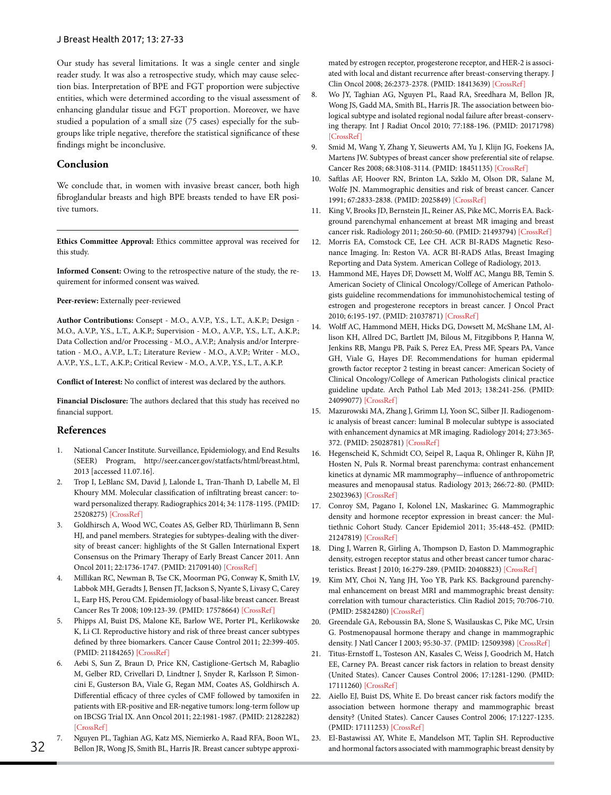Our study has several limitations. It was a single center and single reader study. It was also a retrospective study, which may cause selection bias. Interpretation of BPE and FGT proportion were subjective entities, which were determined according to the visual assessment of enhancing glandular tissue and FGT proportion. Moreover, we have studied a population of a small size (75 cases) especially for the subgroups like triple negative, therefore the statistical significance of these findings might be inconclusive.

## **Conclusion**

We conclude that, in women with invasive breast cancer, both high fibroglandular breasts and high BPE breasts tended to have ER positive tumors.

**Ethics Committee Approval:** Ethics committee approval was received for this study.

**Informed Consent:** Owing to the retrospective nature of the study, the requirement for informed consent was waived.

**Peer-review:** Externally peer-reviewed

**Author Contributions:** Consept - M.O., A.V.P., Y.S., L.T., A.K.P.; Design - M.O., A.V.P., Y.S., L.T., A.K.P.; Supervision - M.O., A.V.P., Y.S., L.T., A.K.P.; Data Collection and/or Processing - M.O., A.V.P.; Analysis and/or Interpretation - M.O., A.V.P., L.T.; Literature Review - M.O., A.V.P.; Writer - M.O., A.V.P., Y.S., L.T., A.K.P.; Critical Review - M.O., A.V.P., Y.S., L.T., A.K.P.

**Conflict of Interest:** No conflict of interest was declared by the authors.

**Financial Disclosure:** The authors declared that this study has received no financial support.

## **References**

- 1. National Cancer Institute. Surveillance, Epidemiology, and End Results (SEER) Program, http://seer.cancer.gov/statfacts/html/breast.html, 2013 [accessed 11.07.16].
- 2. Trop I, LeBlanc SM, David J, Lalonde L, Tran-Thanh D, Labelle M, El Khoury MM. Molecular classification of infiltrating breast cancer: toward personalized therapy. Radiographics 2014; 34: 1178-1195. (PMID: 25208275) [[CrossRef](https://doi.org/10.1148/rg.345130049)]
- 3. Goldhirsch A, Wood WC, Coates AS, Gelber RD, Thürlimann B, Senn HJ, and panel members. Strategies for subtypes-dealing with the diversity of breast cancer: highlights of the St Gallen International Expert Consensus on the Primary Therapy of Early Breast Cancer 2011. Ann Oncol 2011; 22:1736-1747. (PMID: 21709140) [\[CrossRef](https://doi.org/10.1093/annonc/mdr304)]
- 4. Millikan RC, Newman B, Tse CK, Moorman PG, Conway K, Smith LV, Labbok MH, Geradts J, Bensen JT, Jackson S, Nyante S, Livasy C, Carey L, Earp HS, Perou CM. Epidemiology of basal-like breast cancer. Breast Cancer Res Tr 2008; 109:123-39. (PMID: 17578664) [\[CrossRef\]](https://doi.org/10.1007/s10549-007-9632-6)
- 5. Phipps AI, Buist DS, Malone KE, Barlow WE, Porter PL, Kerlikowske K, Li CI. Reproductive history and risk of three breast cancer subtypes defined by three biomarkers. Cancer Cause Control 2011; 22:399-405. (PMID: 21184265) [\[CrossRef\]](https://doi.org/10.1007/s10552-010-9709-0)
- 6. Aebi S, Sun Z, Braun D, Price KN, Castiglione-Gertsch M, Rabaglio M, Gelber RD, Crivellari D, Lindtner J, Snyder R, Karlsson P, Simoncini E, Gusterson BA, Viale G, Regan MM, Coates AS, Goldhirsch A. Differential efficacy of three cycles of CMF followed by tamoxifen in patients with ER-positive and ER-negative tumors: long-term follow up on IBCSG Trial IX. Ann Oncol 2011; 22:1981-1987. (PMID: 21282282) [\[CrossRef\]](https://doi.org/10.1093/annonc/mdq754)
- 7. Nguyen PL, Taghian AG, Katz MS, Niemierko A, Raad RFA, Boon WL, Bellon JR, Wong JS, Smith BL, Harris JR. Breast cancer subtype approxi-<br>32 and hormonal factors associated with mammographic breast density by

mated by estrogen receptor, progesterone receptor, and HER-2 is associated with local and distant recurrence after breast-conserving therapy. J Clin Oncol 2008; 26:2373-2378. (PMID: 18413639) [[CrossRef\]](https://doi.org/10.1200/JCO.2007.14.4287)

- 8. Wo JY, Taghian AG, Nguyen PL, Raad RA, Sreedhara M, Bellon JR, Wong JS, Gadd MA, Smith BL, Harris JR. The association between biological subtype and isolated regional nodal failure after breast-conserving therapy. Int J Radiat Oncol 2010; 77:188-196. (PMID: 20171798) [\[CrossRef\]](https://doi.org/10.1016/j.ijrobp.2009.04.059)
- 9. Smid M, Wang Y, Zhang Y, Sieuwerts AM, Yu J, Klijn JG, Foekens JA, Martens JW. Subtypes of breast cancer show preferential site of relapse. Cancer Res 2008; 68:3108-3114. (PMID: 18451135) [[CrossRef\]](https://doi.org/10.1158/0008-5472.CAN-07-5644)
- 10. Saftlas AF, Hoover RN, Brinton LA, Szklo M, Olson DR, Salane M, Wolfe JN. Mammographic densities and risk of breast cancer. Cancer 1991; 67:2833-2838. (PMID: 2025849) [\[CrossRef\]](https://doi.org/10.1002/1097-0142(19910601)67:11<2833::AID-CNCR2820671121>3.0.CO;2-U)
- 11. King V, Brooks JD, Bernstein JL, Reiner AS, Pike MC, Morris EA. Background parenchymal enhancement at breast MR imaging and breast cancer risk. Radiology 2011; 260:50-60. (PMID: 21493794) [\[CrossRef](https://doi.org/10.1148/radiol.11102156)]
- 12. Morris EA, Comstock CE, Lee CH. ACR BI-RADS Magnetic Resonance Imaging. In: Reston VA. ACR BI-RADS Atlas, Breast Imaging Reporting and Data System. American College of Radiology, 2013.
- 13. Hammond ME, Hayes DF, Dowsett M, Wolff AC, Mangu BB, Temin S. American Society of Clinical Oncology/College of American Pathologists guideline recommendations for immunohistochemical testing of estrogen and progesterone receptors in breast cancer. J Oncol Pract 2010; 6:195-197. (PMID: 21037871) [\[CrossRef](https://doi.org/10.1200/JOP.777003)]
- 14. Wolff AC, Hammond MEH, Hicks DG, Dowsett M, McShane LM, Allison KH, Allred DC, Bartlett JM, Bilous M, Fitzgibbons P, Hanna W, Jenkins RB, Mangu PB, Paik S, Perez EA, Press MF, Spears PA, Vance GH, Viale G, Hayes DF. Recommendations for human epidermal growth factor receptor 2 testing in breast cancer: American Society of Clinical Oncology/College of American Pathologists clinical practice guideline update. Arch Pathol Lab Med 2013; 138:241-256. (PMID: 24099077) [[CrossRef](https://doi.org/10.5858/arpa.2013-0953-SA)]
- 15. Mazurowski MA, Zhang J, Grimm LJ, Yoon SC, Silber JI. Radiogenomic analysis of breast cancer: luminal B molecular subtype is associated with enhancement dynamics at MR imaging. Radiology 2014; 273:365- 372. (PMID: 25028781) [\[CrossRef](https://doi.org/10.1148/radiol.14132641)]
- 16. Hegenscheid K, Schmidt CO, Seipel R, Laqua R, Ohlinger R, Kühn JP, Hosten N, Puls R. Normal breast parenchyma: contrast enhancement kinetics at dynamic MR mammography—influence of anthropometric measures and menopausal status. Radiology 2013; 266:72-80. (PMID: 23023963) [[CrossRef](https://doi.org/10.1148/radiol.12112590)]
- 17. Conroy SM, Pagano I, Kolonel LN, Maskarinec G. Mammographic density and hormone receptor expression in breast cancer: the Multiethnic Cohort Study. Cancer Epidemiol 2011; 35:448-452. (PMID: 21247819) [[CrossRef](https://doi.org/10.1016/j.canep.2010.11.011)]
- 18. Ding J, Warren R, Girling A, Thompson D, Easton D. Mammographic density, estrogen receptor status and other breast cancer tumor characteristics. Breast J 2010; 16:279-289. (PMID: 20408823) [[CrossRef](https://doi.org/10.1111/j.1524-4741.2010.00907.x)]
- 19. Kim MY, Choi N, Yang JH, Yoo YB, Park KS. Background parenchymal enhancement on breast MRI and mammographic breast density: correlation with tumour characteristics. Clin Radiol 2015; 70:706-710. (PMID: 25824280) [\[CrossRef\]](https://doi.org/10.1016/j.crad.2015.02.017)
- 20. Greendale GA, Reboussin BA, Slone S, Wasilauskas C, Pike MC, Ursin G. Postmenopausal hormone therapy and change in mammographic density. J Natl Cancer I 2003; 95:30-37. (PMID: 12509398) [[CrossRef\]](https://doi.org/10.1093/jnci/95.1.30)
- 21. Titus-Ernstoff L, Tosteson AN, Kasales C, Weiss J, Goodrich M, Hatch EE, Carney PA. Breast cancer risk factors in relation to breast density (United States). Cancer Causes Control 2006; 17:1281-1290. (PMID: 17111260) [[CrossRef](https://doi.org/10.1007/s10552-006-0071-1)]
- 22. Aiello EJ, Buist DS, White E. Do breast cancer risk factors modify the association between hormone therapy and mammographic breast density? (United States). Cancer Causes Control 2006; 17:1227-1235. (PMID: 17111253) [\[CrossRef\]](https://doi.org/10.1007/s10552-006-0073-z)
- 23. El-Bastawissi AY, White E, Mandelson MT, Taplin SH. Reproductive